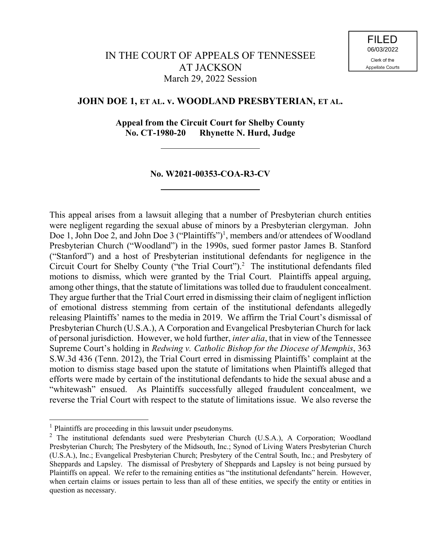# **JOHN DOE 1, ET AL. v. WOODLAND PRESBYTERIAN, ET AL.**

**Appeal from the Circuit Court for Shelby County No. CT-1980-20 Rhynette N. Hurd, Judge**

## **No. W2021-00353-COA-R3-CV**

This appeal arises from a lawsuit alleging that a number of Presbyterian church entities were negligent regarding the sexual abuse of minors by a Presbyterian clergyman. John Doe 1, John Doe 2, and John Doe 3 ("Plaintiffs")<sup>1</sup>, members and/or attendees of Woodland Presbyterian Church ("Woodland") in the 1990s, sued former pastor James B. Stanford ("Stanford") and a host of Presbyterian institutional defendants for negligence in the Circuit Court for Shelby County ("the Trial Court").<sup>2</sup> The institutional defendants filed motions to dismiss, which were granted by the Trial Court. Plaintiffs appeal arguing, among other things, that the statute of limitations was tolled due to fraudulent concealment. They argue further that the Trial Court erred in dismissing their claim of negligent infliction of emotional distress stemming from certain of the institutional defendants allegedly releasing Plaintiffs' names to the media in 2019. We affirm the Trial Court's dismissal of Presbyterian Church (U.S.A.), A Corporation and Evangelical Presbyterian Church for lack of personal jurisdiction. However, we hold further, *inter alia*, that in view of the Tennessee Supreme Court's holding in *Redwing v. Catholic Bishop for the Diocese of Memphis*, 363 S.W.3d 436 (Tenn. 2012), the Trial Court erred in dismissing Plaintiffs' complaint at the motion to dismiss stage based upon the statute of limitations when Plaintiffs alleged that efforts were made by certain of the institutional defendants to hide the sexual abuse and a "whitewash" ensued. As Plaintiffs successfully alleged fraudulent concealment, we reverse the Trial Court with respect to the statute of limitations issue. We also reverse the

l

 $<sup>1</sup>$  Plaintiffs are proceeding in this lawsuit under pseudonyms.</sup>

<sup>&</sup>lt;sup>2</sup> The institutional defendants sued were Presbyterian Church (U.S.A.), A Corporation; Woodland Presbyterian Church; The Presbytery of the Midsouth, Inc.; Synod of Living Waters Presbyterian Church (U.S.A.), Inc.; Evangelical Presbyterian Church; Presbytery of the Central South, Inc.; and Presbytery of Sheppards and Lapsley. The dismissal of Presbytery of Sheppards and Lapsley is not being pursued by Plaintiffs on appeal. We refer to the remaining entities as "the institutional defendants" herein. However, when certain claims or issues pertain to less than all of these entities, we specify the entity or entities in question as necessary.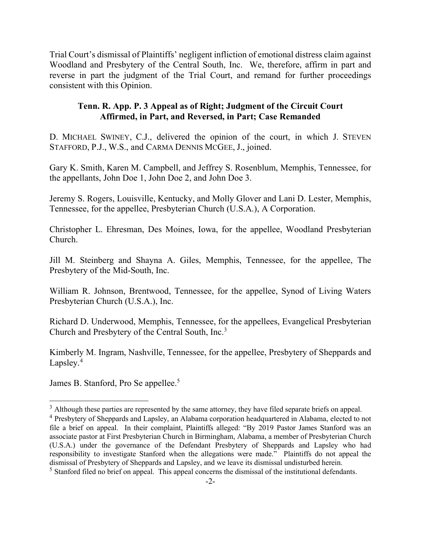Trial Court's dismissal of Plaintiffs' negligent infliction of emotional distress claim against Woodland and Presbytery of the Central South, Inc. We, therefore, affirm in part and reverse in part the judgment of the Trial Court, and remand for further proceedings consistent with this Opinion.

# **Tenn. R. App. P. 3 Appeal as of Right; Judgment of the Circuit Court Affirmed, in Part, and Reversed, in Part; Case Remanded**

D. MICHAEL SWINEY, C.J., delivered the opinion of the court, in which J. STEVEN STAFFORD, P.J., W.S., and CARMA DENNIS MCGEE, J., joined.

Gary K. Smith, Karen M. Campbell, and Jeffrey S. Rosenblum, Memphis, Tennessee, for the appellants, John Doe 1, John Doe 2, and John Doe 3.

Jeremy S. Rogers, Louisville, Kentucky, and Molly Glover and Lani D. Lester, Memphis, Tennessee, for the appellee, Presbyterian Church (U.S.A.), A Corporation.

Christopher L. Ehresman, Des Moines, Iowa, for the appellee, Woodland Presbyterian Church.

Jill M. Steinberg and Shayna A. Giles, Memphis, Tennessee, for the appellee, The Presbytery of the Mid-South, Inc.

William R. Johnson, Brentwood, Tennessee, for the appellee, Synod of Living Waters Presbyterian Church (U.S.A.), Inc.

Richard D. Underwood, Memphis, Tennessee, for the appellees, Evangelical Presbyterian Church and Presbytery of the Central South, Inc.<sup>3</sup>

Kimberly M. Ingram, Nashville, Tennessee, for the appellee, Presbytery of Sheppards and Lapsley.<sup>4</sup>

James B. Stanford, Pro Se appellee.<sup>5</sup>

 $\overline{a}$ 

 $3$  Although these parties are represented by the same attorney, they have filed separate briefs on appeal.

<sup>&</sup>lt;sup>4</sup> Presbytery of Sheppards and Lapsley, an Alabama corporation headquartered in Alabama, elected to not file a brief on appeal. In their complaint, Plaintiffs alleged: "By 2019 Pastor James Stanford was an associate pastor at First Presbyterian Church in Birmingham, Alabama, a member of Presbyterian Church (U.S.A.) under the governance of the Defendant Presbytery of Sheppards and Lapsley who had responsibility to investigate Stanford when the allegations were made." Plaintiffs do not appeal the dismissal of Presbytery of Sheppards and Lapsley, and we leave its dismissal undisturbed herein.

 $<sup>5</sup>$  Stanford filed no brief on appeal. This appeal concerns the dismissal of the institutional defendants.</sup>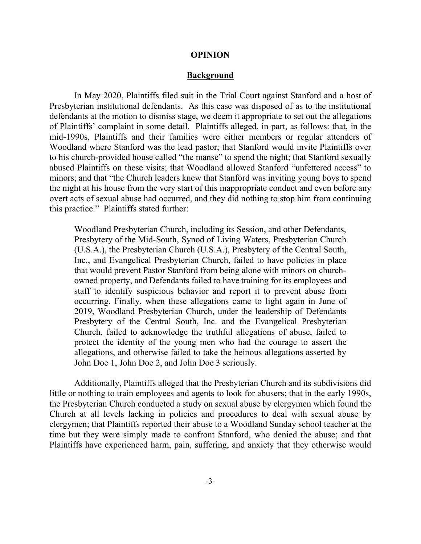#### **OPINION**

#### **Background**

In May 2020, Plaintiffs filed suit in the Trial Court against Stanford and a host of Presbyterian institutional defendants. As this case was disposed of as to the institutional defendants at the motion to dismiss stage, we deem it appropriate to set out the allegations of Plaintiffs' complaint in some detail. Plaintiffs alleged, in part, as follows: that, in the mid-1990s, Plaintiffs and their families were either members or regular attenders of Woodland where Stanford was the lead pastor; that Stanford would invite Plaintiffs over to his church-provided house called "the manse" to spend the night; that Stanford sexually abused Plaintiffs on these visits; that Woodland allowed Stanford "unfettered access" to minors; and that "the Church leaders knew that Stanford was inviting young boys to spend the night at his house from the very start of this inappropriate conduct and even before any overt acts of sexual abuse had occurred, and they did nothing to stop him from continuing this practice." Plaintiffs stated further:

Woodland Presbyterian Church, including its Session, and other Defendants, Presbytery of the Mid-South, Synod of Living Waters, Presbyterian Church (U.S.A.), the Presbyterian Church (U.S.A.), Presbytery of the Central South, Inc., and Evangelical Presbyterian Church, failed to have policies in place that would prevent Pastor Stanford from being alone with minors on churchowned property, and Defendants failed to have training for its employees and staff to identify suspicious behavior and report it to prevent abuse from occurring. Finally, when these allegations came to light again in June of 2019, Woodland Presbyterian Church, under the leadership of Defendants Presbytery of the Central South, Inc. and the Evangelical Presbyterian Church, failed to acknowledge the truthful allegations of abuse, failed to protect the identity of the young men who had the courage to assert the allegations, and otherwise failed to take the heinous allegations asserted by John Doe 1, John Doe 2, and John Doe 3 seriously.

Additionally, Plaintiffs alleged that the Presbyterian Church and its subdivisions did little or nothing to train employees and agents to look for abusers; that in the early 1990s, the Presbyterian Church conducted a study on sexual abuse by clergymen which found the Church at all levels lacking in policies and procedures to deal with sexual abuse by clergymen; that Plaintiffs reported their abuse to a Woodland Sunday school teacher at the time but they were simply made to confront Stanford, who denied the abuse; and that Plaintiffs have experienced harm, pain, suffering, and anxiety that they otherwise would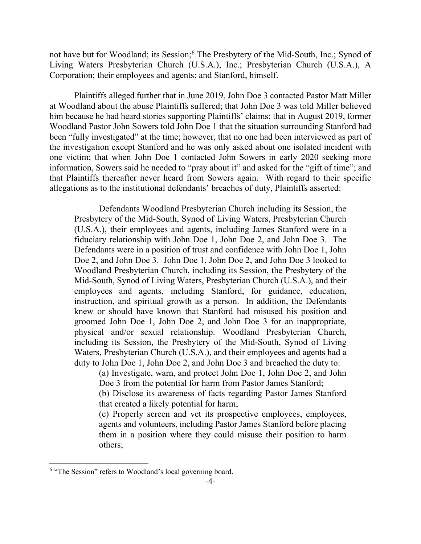not have but for Woodland; its Session; <sup>6</sup> The Presbytery of the Mid-South, Inc.; Synod of Living Waters Presbyterian Church (U.S.A.), Inc.; Presbyterian Church (U.S.A.), A Corporation; their employees and agents; and Stanford, himself.

Plaintiffs alleged further that in June 2019, John Doe 3 contacted Pastor Matt Miller at Woodland about the abuse Plaintiffs suffered; that John Doe 3 was told Miller believed him because he had heard stories supporting Plaintiffs' claims; that in August 2019, former Woodland Pastor John Sowers told John Doe 1 that the situation surrounding Stanford had been "fully investigated" at the time; however, that no one had been interviewed as part of the investigation except Stanford and he was only asked about one isolated incident with one victim; that when John Doe 1 contacted John Sowers in early 2020 seeking more information, Sowers said he needed to "pray about it" and asked for the "gift of time"; and that Plaintiffs thereafter never heard from Sowers again. With regard to their specific allegations as to the institutional defendants' breaches of duty, Plaintiffs asserted:

Defendants Woodland Presbyterian Church including its Session, the Presbytery of the Mid-South, Synod of Living Waters, Presbyterian Church (U.S.A.), their employees and agents, including James Stanford were in a fiduciary relationship with John Doe 1, John Doe 2, and John Doe 3. The Defendants were in a position of trust and confidence with John Doe 1, John Doe 2, and John Doe 3. John Doe 1, John Doe 2, and John Doe 3 looked to Woodland Presbyterian Church, including its Session, the Presbytery of the Mid-South, Synod of Living Waters, Presbyterian Church (U.S.A.), and their employees and agents, including Stanford, for guidance, education, instruction, and spiritual growth as a person. In addition, the Defendants knew or should have known that Stanford had misused his position and groomed John Doe 1, John Doe 2, and John Doe 3 for an inappropriate, physical and/or sexual relationship. Woodland Presbyterian Church, including its Session, the Presbytery of the Mid-South, Synod of Living Waters, Presbyterian Church (U.S.A.), and their employees and agents had a duty to John Doe 1, John Doe 2, and John Doe 3 and breached the duty to:

(a) Investigate, warn, and protect John Doe 1, John Doe 2, and John Doe 3 from the potential for harm from Pastor James Stanford;

(b) Disclose its awareness of facts regarding Pastor James Stanford that created a likely potential for harm;

(c) Properly screen and vet its prospective employees, employees, agents and volunteers, including Pastor James Stanford before placing them in a position where they could misuse their position to harm others;

 $\overline{a}$ 

<sup>&</sup>lt;sup>6</sup> "The Session" refers to Woodland's local governing board.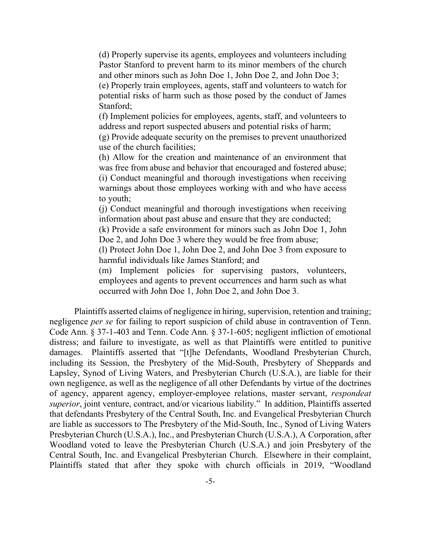(d) Properly supervise its agents, employees and volunteers including Pastor Stanford to prevent harm to its minor members of the church and other minors such as John Doe 1, John Doe 2, and John Doe 3;

(e) Properly train employees, agents, staff and volunteers to watch for potential risks of harm such as those posed by the conduct of James Stanford;

(f) Implement policies for employees, agents, staff, and volunteers to address and report suspected abusers and potential risks of harm;

(g) Provide adequate security on the premises to prevent unauthorized use of the church facilities;

(h) Allow for the creation and maintenance of an environment that was free from abuse and behavior that encouraged and fostered abuse; (i) Conduct meaningful and thorough investigations when receiving warnings about those employees working with and who have access to youth;

(j) Conduct meaningful and thorough investigations when receiving information about past abuse and ensure that they are conducted;

(k) Provide a safe environment for minors such as John Doe 1, John Doe 2, and John Doe 3 where they would be free from abuse;

(l) Protect John Doe 1, John Doe 2, and John Doe 3 from exposure to harmful individuals like James Stanford; and

(m) Implement policies for supervising pastors, volunteers, employees and agents to prevent occurrences and harm such as what occurred with John Doe 1, John Doe 2, and John Doe 3.

Plaintiffs asserted claims of negligence in hiring, supervision, retention and training; negligence *per se* for failing to report suspicion of child abuse in contravention of Tenn. Code Ann. § 37-1-403 and Tenn. Code Ann. § 37-1-605; negligent infliction of emotional distress; and failure to investigate, as well as that Plaintiffs were entitled to punitive damages. Plaintiffs asserted that "[t]he Defendants, Woodland Presbyterian Church, including its Session, the Presbytery of the Mid-South, Presbytery of Sheppards and Lapsley, Synod of Living Waters, and Presbyterian Church (U.S.A.), are liable for their own negligence, as well as the negligence of all other Defendants by virtue of the doctrines of agency, apparent agency, employer-employee relations, master servant, *respondeat superior*, joint venture, contract, and/or vicarious liability." In addition, Plaintiffs asserted that defendants Presbytery of the Central South, Inc. and Evangelical Presbyterian Church are liable as successors to The Presbytery of the Mid-South, Inc., Synod of Living Waters Presbyterian Church (U.S.A.), Inc., and Presbyterian Church (U.S.A.), A Corporation, after Woodland voted to leave the Presbyterian Church (U.S.A.) and join Presbytery of the Central South, Inc. and Evangelical Presbyterian Church. Elsewhere in their complaint, Plaintiffs stated that after they spoke with church officials in 2019, "Woodland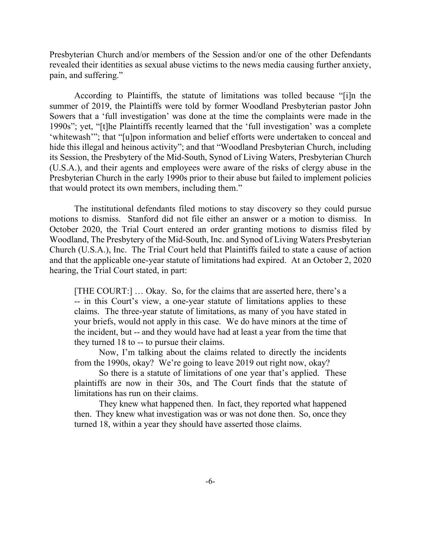Presbyterian Church and/or members of the Session and/or one of the other Defendants revealed their identities as sexual abuse victims to the news media causing further anxiety, pain, and suffering."

According to Plaintiffs, the statute of limitations was tolled because "[i]n the summer of 2019, the Plaintiffs were told by former Woodland Presbyterian pastor John Sowers that a 'full investigation' was done at the time the complaints were made in the 1990s"; yet, "[t]he Plaintiffs recently learned that the 'full investigation' was a complete 'whitewash'"; that "[u]pon information and belief efforts were undertaken to conceal and hide this illegal and heinous activity"; and that "Woodland Presbyterian Church, including its Session, the Presbytery of the Mid-South, Synod of Living Waters, Presbyterian Church (U.S.A.), and their agents and employees were aware of the risks of clergy abuse in the Presbyterian Church in the early 1990s prior to their abuse but failed to implement policies that would protect its own members, including them."

The institutional defendants filed motions to stay discovery so they could pursue motions to dismiss. Stanford did not file either an answer or a motion to dismiss. In October 2020, the Trial Court entered an order granting motions to dismiss filed by Woodland, The Presbytery of the Mid-South, Inc. and Synod of Living Waters Presbyterian Church (U.S.A.), Inc. The Trial Court held that Plaintiffs failed to state a cause of action and that the applicable one-year statute of limitations had expired. At an October 2, 2020 hearing, the Trial Court stated, in part:

[THE COURT:] … Okay. So, for the claims that are asserted here, there's a -- in this Court's view, a one-year statute of limitations applies to these claims. The three-year statute of limitations, as many of you have stated in your briefs, would not apply in this case. We do have minors at the time of the incident, but -- and they would have had at least a year from the time that they turned 18 to -- to pursue their claims.

Now, I'm talking about the claims related to directly the incidents from the 1990s, okay? We're going to leave 2019 out right now, okay?

So there is a statute of limitations of one year that's applied. These plaintiffs are now in their 30s, and The Court finds that the statute of limitations has run on their claims.

They knew what happened then. In fact, they reported what happened then. They knew what investigation was or was not done then. So, once they turned 18, within a year they should have asserted those claims.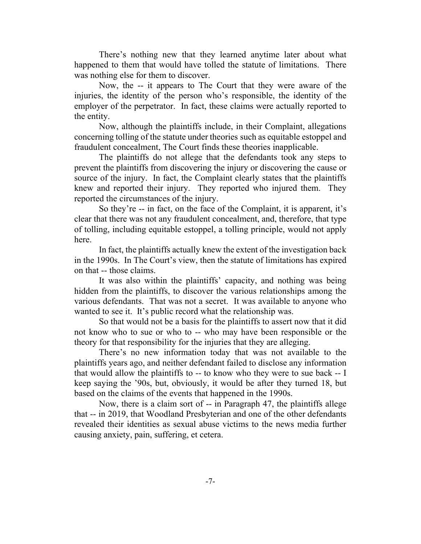There's nothing new that they learned anytime later about what happened to them that would have tolled the statute of limitations. There was nothing else for them to discover.

Now, the -- it appears to The Court that they were aware of the injuries, the identity of the person who's responsible, the identity of the employer of the perpetrator. In fact, these claims were actually reported to the entity.

Now, although the plaintiffs include, in their Complaint, allegations concerning tolling of the statute under theories such as equitable estoppel and fraudulent concealment, The Court finds these theories inapplicable.

The plaintiffs do not allege that the defendants took any steps to prevent the plaintiffs from discovering the injury or discovering the cause or source of the injury. In fact, the Complaint clearly states that the plaintiffs knew and reported their injury. They reported who injured them. They reported the circumstances of the injury.

So they're -- in fact, on the face of the Complaint, it is apparent, it's clear that there was not any fraudulent concealment, and, therefore, that type of tolling, including equitable estoppel, a tolling principle, would not apply here.

In fact, the plaintiffs actually knew the extent of the investigation back in the 1990s. In The Court's view, then the statute of limitations has expired on that -- those claims.

It was also within the plaintiffs' capacity, and nothing was being hidden from the plaintiffs, to discover the various relationships among the various defendants. That was not a secret. It was available to anyone who wanted to see it. It's public record what the relationship was.

So that would not be a basis for the plaintiffs to assert now that it did not know who to sue or who to -- who may have been responsible or the theory for that responsibility for the injuries that they are alleging.

There's no new information today that was not available to the plaintiffs years ago, and neither defendant failed to disclose any information that would allow the plaintiffs to -- to know who they were to sue back -- I keep saying the '90s, but, obviously, it would be after they turned 18, but based on the claims of the events that happened in the 1990s.

Now, there is a claim sort of -- in Paragraph 47, the plaintiffs allege that -- in 2019, that Woodland Presbyterian and one of the other defendants revealed their identities as sexual abuse victims to the news media further causing anxiety, pain, suffering, et cetera.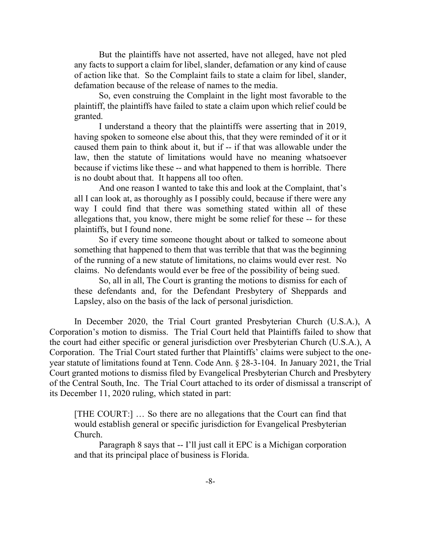But the plaintiffs have not asserted, have not alleged, have not pled any facts to support a claim for libel, slander, defamation or any kind of cause of action like that. So the Complaint fails to state a claim for libel, slander, defamation because of the release of names to the media.

So, even construing the Complaint in the light most favorable to the plaintiff, the plaintiffs have failed to state a claim upon which relief could be granted.

I understand a theory that the plaintiffs were asserting that in 2019, having spoken to someone else about this, that they were reminded of it or it caused them pain to think about it, but if -- if that was allowable under the law, then the statute of limitations would have no meaning whatsoever because if victims like these -- and what happened to them is horrible. There is no doubt about that. It happens all too often.

And one reason I wanted to take this and look at the Complaint, that's all I can look at, as thoroughly as I possibly could, because if there were any way I could find that there was something stated within all of these allegations that, you know, there might be some relief for these -- for these plaintiffs, but I found none.

So if every time someone thought about or talked to someone about something that happened to them that was terrible that that was the beginning of the running of a new statute of limitations, no claims would ever rest. No claims. No defendants would ever be free of the possibility of being sued.

So, all in all, The Court is granting the motions to dismiss for each of these defendants and, for the Defendant Presbytery of Sheppards and Lapsley, also on the basis of the lack of personal jurisdiction.

In December 2020, the Trial Court granted Presbyterian Church (U.S.A.), A Corporation's motion to dismiss. The Trial Court held that Plaintiffs failed to show that the court had either specific or general jurisdiction over Presbyterian Church (U.S.A.), A Corporation. The Trial Court stated further that Plaintiffs' claims were subject to the oneyear statute of limitations found at Tenn. Code Ann. § 28-3-104. In January 2021, the Trial Court granted motions to dismiss filed by Evangelical Presbyterian Church and Presbytery of the Central South, Inc. The Trial Court attached to its order of dismissal a transcript of its December 11, 2020 ruling, which stated in part:

[THE COURT:] … So there are no allegations that the Court can find that would establish general or specific jurisdiction for Evangelical Presbyterian Church.

Paragraph 8 says that -- I'll just call it EPC is a Michigan corporation and that its principal place of business is Florida.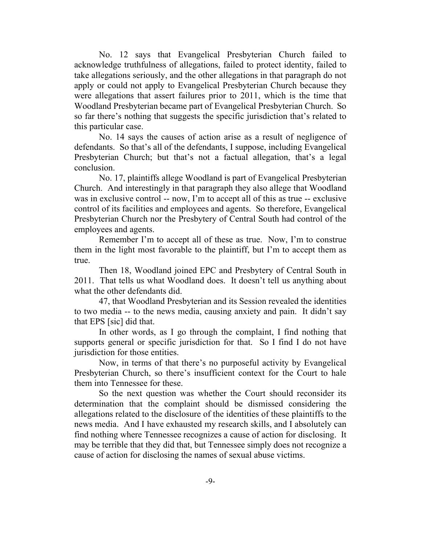No. 12 says that Evangelical Presbyterian Church failed to acknowledge truthfulness of allegations, failed to protect identity, failed to take allegations seriously, and the other allegations in that paragraph do not apply or could not apply to Evangelical Presbyterian Church because they were allegations that assert failures prior to 2011, which is the time that Woodland Presbyterian became part of Evangelical Presbyterian Church. So so far there's nothing that suggests the specific jurisdiction that's related to this particular case.

No. 14 says the causes of action arise as a result of negligence of defendants. So that's all of the defendants, I suppose, including Evangelical Presbyterian Church; but that's not a factual allegation, that's a legal conclusion.

No. 17, plaintiffs allege Woodland is part of Evangelical Presbyterian Church. And interestingly in that paragraph they also allege that Woodland was in exclusive control -- now, I'm to accept all of this as true -- exclusive control of its facilities and employees and agents. So therefore, Evangelical Presbyterian Church nor the Presbytery of Central South had control of the employees and agents.

Remember I'm to accept all of these as true. Now, I'm to construe them in the light most favorable to the plaintiff, but I'm to accept them as true.

Then 18, Woodland joined EPC and Presbytery of Central South in 2011. That tells us what Woodland does. It doesn't tell us anything about what the other defendants did.

47, that Woodland Presbyterian and its Session revealed the identities to two media -- to the news media, causing anxiety and pain. It didn't say that EPS [sic] did that.

In other words, as I go through the complaint, I find nothing that supports general or specific jurisdiction for that. So I find I do not have jurisdiction for those entities.

Now, in terms of that there's no purposeful activity by Evangelical Presbyterian Church, so there's insufficient context for the Court to hale them into Tennessee for these.

So the next question was whether the Court should reconsider its determination that the complaint should be dismissed considering the allegations related to the disclosure of the identities of these plaintiffs to the news media. And I have exhausted my research skills, and I absolutely can find nothing where Tennessee recognizes a cause of action for disclosing. It may be terrible that they did that, but Tennessee simply does not recognize a cause of action for disclosing the names of sexual abuse victims.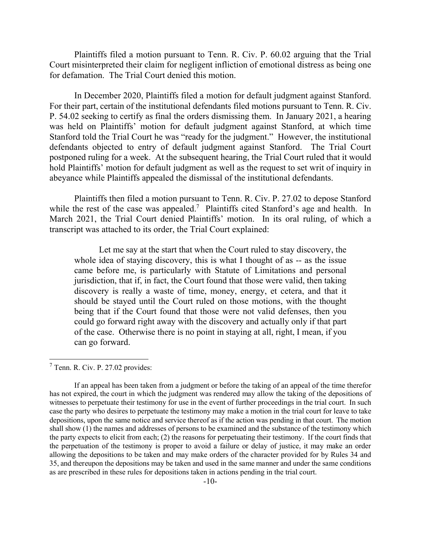Plaintiffs filed a motion pursuant to Tenn. R. Civ. P. 60.02 arguing that the Trial Court misinterpreted their claim for negligent infliction of emotional distress as being one for defamation. The Trial Court denied this motion.

In December 2020, Plaintiffs filed a motion for default judgment against Stanford. For their part, certain of the institutional defendants filed motions pursuant to Tenn. R. Civ. P. 54.02 seeking to certify as final the orders dismissing them. In January 2021, a hearing was held on Plaintiffs' motion for default judgment against Stanford, at which time Stanford told the Trial Court he was "ready for the judgment." However, the institutional defendants objected to entry of default judgment against Stanford. The Trial Court postponed ruling for a week. At the subsequent hearing, the Trial Court ruled that it would hold Plaintiffs' motion for default judgment as well as the request to set writ of inquiry in abeyance while Plaintiffs appealed the dismissal of the institutional defendants.

Plaintiffs then filed a motion pursuant to Tenn. R. Civ. P. 27.02 to depose Stanford while the rest of the case was appealed.<sup>7</sup> Plaintiffs cited Stanford's age and health. In March 2021, the Trial Court denied Plaintiffs' motion. In its oral ruling, of which a transcript was attached to its order, the Trial Court explained:

Let me say at the start that when the Court ruled to stay discovery, the whole idea of staying discovery, this is what I thought of as -- as the issue came before me, is particularly with Statute of Limitations and personal jurisdiction, that if, in fact, the Court found that those were valid, then taking discovery is really a waste of time, money, energy, et cetera, and that it should be stayed until the Court ruled on those motions, with the thought being that if the Court found that those were not valid defenses, then you could go forward right away with the discovery and actually only if that part of the case. Otherwise there is no point in staying at all, right, I mean, if you can go forward.

l

<sup>7</sup> Tenn. R. Civ. P. 27.02 provides:

If an appeal has been taken from a judgment or before the taking of an appeal of the time therefor has not expired, the court in which the judgment was rendered may allow the taking of the depositions of witnesses to perpetuate their testimony for use in the event of further proceedings in the trial court. In such case the party who desires to perpetuate the testimony may make a motion in the trial court for leave to take depositions, upon the same notice and service thereof as if the action was pending in that court. The motion shall show (1) the names and addresses of persons to be examined and the substance of the testimony which the party expects to elicit from each; (2) the reasons for perpetuating their testimony. If the court finds that the perpetuation of the testimony is proper to avoid a failure or delay of justice, it may make an order allowing the depositions to be taken and may make orders of the character provided for by Rules 34 and 35, and thereupon the depositions may be taken and used in the same manner and under the same conditions as are prescribed in these rules for depositions taken in actions pending in the trial court.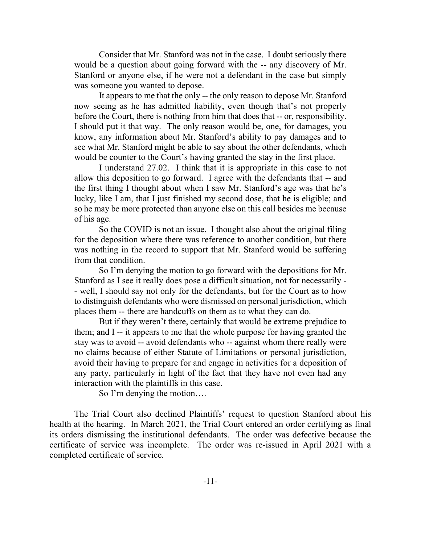Consider that Mr. Stanford was not in the case. I doubt seriously there would be a question about going forward with the -- any discovery of Mr. Stanford or anyone else, if he were not a defendant in the case but simply was someone you wanted to depose.

It appears to me that the only -- the only reason to depose Mr. Stanford now seeing as he has admitted liability, even though that's not properly before the Court, there is nothing from him that does that -- or, responsibility. I should put it that way. The only reason would be, one, for damages, you know, any information about Mr. Stanford's ability to pay damages and to see what Mr. Stanford might be able to say about the other defendants, which would be counter to the Court's having granted the stay in the first place.

I understand 27.02. I think that it is appropriate in this case to not allow this deposition to go forward. I agree with the defendants that -- and the first thing I thought about when I saw Mr. Stanford's age was that he's lucky, like I am, that I just finished my second dose, that he is eligible; and so he may be more protected than anyone else on this call besides me because of his age.

So the COVID is not an issue. I thought also about the original filing for the deposition where there was reference to another condition, but there was nothing in the record to support that Mr. Stanford would be suffering from that condition.

So I'm denying the motion to go forward with the depositions for Mr. Stanford as I see it really does pose a difficult situation, not for necessarily - - well, I should say not only for the defendants, but for the Court as to how to distinguish defendants who were dismissed on personal jurisdiction, which places them -- there are handcuffs on them as to what they can do.

But if they weren't there, certainly that would be extreme prejudice to them; and I -- it appears to me that the whole purpose for having granted the stay was to avoid -- avoid defendants who -- against whom there really were no claims because of either Statute of Limitations or personal jurisdiction, avoid their having to prepare for and engage in activities for a deposition of any party, particularly in light of the fact that they have not even had any interaction with the plaintiffs in this case.

So I'm denying the motion….

The Trial Court also declined Plaintiffs' request to question Stanford about his health at the hearing. In March 2021, the Trial Court entered an order certifying as final its orders dismissing the institutional defendants. The order was defective because the certificate of service was incomplete. The order was re-issued in April 2021 with a completed certificate of service.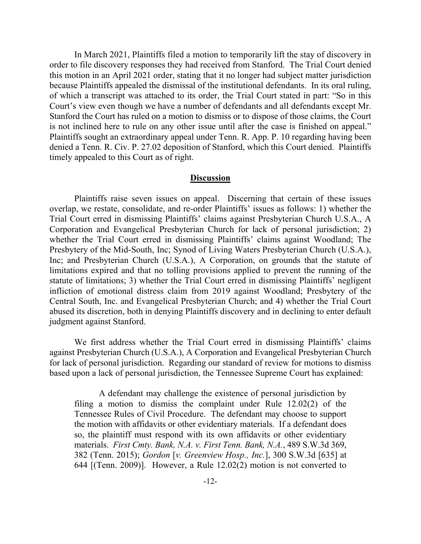In March 2021, Plaintiffs filed a motion to temporarily lift the stay of discovery in order to file discovery responses they had received from Stanford. The Trial Court denied this motion in an April 2021 order, stating that it no longer had subject matter jurisdiction because Plaintiffs appealed the dismissal of the institutional defendants. In its oral ruling, of which a transcript was attached to its order, the Trial Court stated in part: "So in this Court's view even though we have a number of defendants and all defendants except Mr. Stanford the Court has ruled on a motion to dismiss or to dispose of those claims, the Court is not inclined here to rule on any other issue until after the case is finished on appeal." Plaintiffs sought an extraordinary appeal under Tenn. R. App. P. 10 regarding having been denied a Tenn. R. Civ. P. 27.02 deposition of Stanford, which this Court denied. Plaintiffs timely appealed to this Court as of right.

#### **Discussion**

Plaintiffs raise seven issues on appeal. Discerning that certain of these issues overlap, we restate, consolidate, and re-order Plaintiffs' issues as follows: 1) whether the Trial Court erred in dismissing Plaintiffs' claims against Presbyterian Church U.S.A., A Corporation and Evangelical Presbyterian Church for lack of personal jurisdiction; 2) whether the Trial Court erred in dismissing Plaintiffs' claims against Woodland; The Presbytery of the Mid-South, Inc; Synod of Living Waters Presbyterian Church (U.S.A.), Inc; and Presbyterian Church (U.S.A.), A Corporation, on grounds that the statute of limitations expired and that no tolling provisions applied to prevent the running of the statute of limitations; 3) whether the Trial Court erred in dismissing Plaintiffs' negligent infliction of emotional distress claim from 2019 against Woodland; Presbytery of the Central South, Inc. and Evangelical Presbyterian Church; and 4) whether the Trial Court abused its discretion, both in denying Plaintiffs discovery and in declining to enter default judgment against Stanford.

We first address whether the Trial Court erred in dismissing Plaintiffs' claims against Presbyterian Church (U.S.A.), A Corporation and Evangelical Presbyterian Church for lack of personal jurisdiction. Regarding our standard of review for motions to dismiss based upon a lack of personal jurisdiction, the Tennessee Supreme Court has explained:

A defendant may challenge the existence of personal jurisdiction by filing a motion to dismiss the complaint under Rule 12.02(2) of the Tennessee Rules of Civil Procedure. The defendant may choose to support the motion with affidavits or other evidentiary materials. If a defendant does so, the plaintiff must respond with its own affidavits or other evidentiary materials. *First Cmty. Bank, N.A. v. First Tenn. Bank, N.A.*, 489 S.W.3d 369, 382 (Tenn. 2015); *Gordon* [*v. Greenview Hosp., Inc.*], 300 S.W.3d [635] at 644 [(Tenn. 2009)]. However, a Rule 12.02(2) motion is not converted to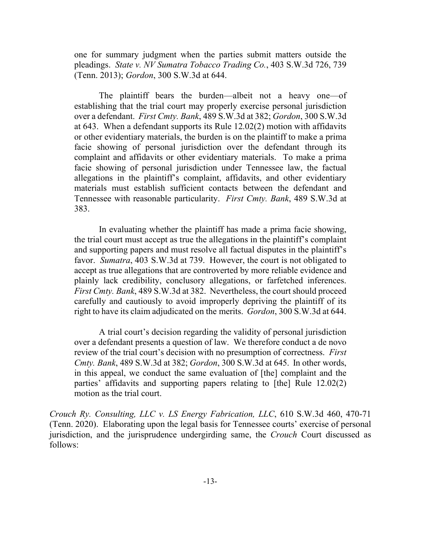one for summary judgment when the parties submit matters outside the pleadings. *State v. NV Sumatra Tobacco Trading Co.*, 403 S.W.3d 726, 739 (Tenn. 2013); *Gordon*, 300 S.W.3d at 644.

The plaintiff bears the burden—albeit not a heavy one—of establishing that the trial court may properly exercise personal jurisdiction over a defendant. *First Cmty. Bank*, 489 S.W.3d at 382; *Gordon*, 300 S.W.3d at 643. When a defendant supports its Rule 12.02(2) motion with affidavits or other evidentiary materials, the burden is on the plaintiff to make a prima facie showing of personal jurisdiction over the defendant through its complaint and affidavits or other evidentiary materials. To make a prima facie showing of personal jurisdiction under Tennessee law, the factual allegations in the plaintiff's complaint, affidavits, and other evidentiary materials must establish sufficient contacts between the defendant and Tennessee with reasonable particularity. *First Cmty. Bank*, 489 S.W.3d at 383.

In evaluating whether the plaintiff has made a prima facie showing, the trial court must accept as true the allegations in the plaintiff's complaint and supporting papers and must resolve all factual disputes in the plaintiff's favor. *Sumatra*, 403 S.W.3d at 739. However, the court is not obligated to accept as true allegations that are controverted by more reliable evidence and plainly lack credibility, conclusory allegations, or farfetched inferences. *First Cmty. Bank*, 489 S.W.3d at 382. Nevertheless, the court should proceed carefully and cautiously to avoid improperly depriving the plaintiff of its right to have its claim adjudicated on the merits. *Gordon*, 300 S.W.3d at 644.

A trial court's decision regarding the validity of personal jurisdiction over a defendant presents a question of law. We therefore conduct a de novo review of the trial court's decision with no presumption of correctness. *First Cmty. Bank*, 489 S.W.3d at 382; *Gordon*, 300 S.W.3d at 645. In other words, in this appeal, we conduct the same evaluation of [the] complaint and the parties' affidavits and supporting papers relating to [the] Rule 12.02(2) motion as the trial court.

*Crouch Ry. Consulting, LLC v. LS Energy Fabrication, LLC*, 610 S.W.3d 460, 470-71 (Tenn. 2020). Elaborating upon the legal basis for Tennessee courts' exercise of personal jurisdiction, and the jurisprudence undergirding same, the *Crouch* Court discussed as follows: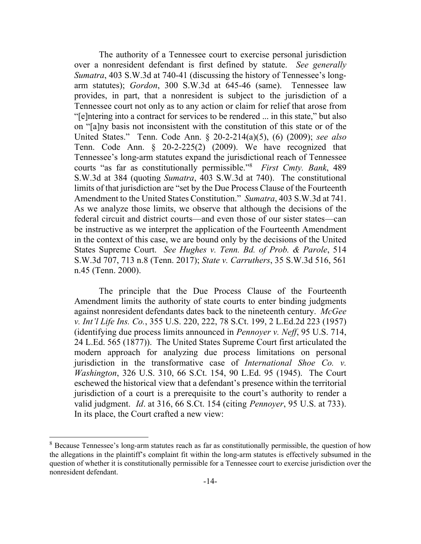The authority of a Tennessee court to exercise personal jurisdiction over a nonresident defendant is first defined by statute. *See generally Sumatra*, 403 S.W.3d at 740-41 (discussing the history of Tennessee's longarm statutes); *Gordon*, 300 S.W.3d at 645-46 (same). Tennessee law provides, in part, that a nonresident is subject to the jurisdiction of a Tennessee court not only as to any action or claim for relief that arose from "[e]ntering into a contract for services to be rendered ... in this state," but also on "[a]ny basis not inconsistent with the constitution of this state or of the United States." Tenn. Code Ann. § 20-2-214(a)(5), (6) (2009); *see also* Tenn. Code Ann. § 20-2-225(2) (2009). We have recognized that Tennessee's long-arm statutes expand the jurisdictional reach of Tennessee courts "as far as constitutionally permissible."<sup>8</sup> *First Cmty. Bank*, 489 S.W.3d at 384 (quoting *Sumatra*, 403 S.W.3d at 740). The constitutional limits of that jurisdiction are "set by the Due Process Clause of the Fourteenth Amendment to the United States Constitution." *Sumatra*, 403 S.W.3d at 741. As we analyze those limits, we observe that although the decisions of the federal circuit and district courts—and even those of our sister states—can be instructive as we interpret the application of the Fourteenth Amendment in the context of this case, we are bound only by the decisions of the United States Supreme Court. *See Hughes v. Tenn. Bd. of Prob. & Parole*, 514 S.W.3d 707, 713 n.8 (Tenn. 2017); *State v. Carruthers*, 35 S.W.3d 516, 561 n.45 (Tenn. 2000).

The principle that the Due Process Clause of the Fourteenth Amendment limits the authority of state courts to enter binding judgments against nonresident defendants dates back to the nineteenth century. *McGee v. Int'l Life Ins. Co.*, 355 U.S. 220, 222, 78 S.Ct. 199, 2 L.Ed.2d 223 (1957) (identifying due process limits announced in *Pennoyer v. Neff*, 95 U.S. 714, 24 L.Ed. 565 (1877)). The United States Supreme Court first articulated the modern approach for analyzing due process limitations on personal jurisdiction in the transformative case of *International Shoe Co. v. Washington*, 326 U.S. 310, 66 S.Ct. 154, 90 L.Ed. 95 (1945). The Court eschewed the historical view that a defendant's presence within the territorial jurisdiction of a court is a prerequisite to the court's authority to render a valid judgment. *Id*. at 316, 66 S.Ct. 154 (citing *Pennoyer*, 95 U.S. at 733). In its place, the Court crafted a new view:

 $\overline{a}$ 

<sup>&</sup>lt;sup>8</sup> Because Tennessee's long-arm statutes reach as far as constitutionally permissible, the question of how the allegations in the plaintiff's complaint fit within the long-arm statutes is effectively subsumed in the question of whether it is constitutionally permissible for a Tennessee court to exercise jurisdiction over the nonresident defendant.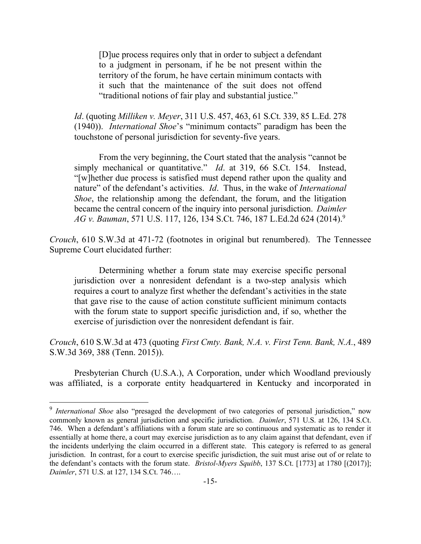[D]ue process requires only that in order to subject a defendant to a judgment in personam, if he be not present within the territory of the forum, he have certain minimum contacts with it such that the maintenance of the suit does not offend "traditional notions of fair play and substantial justice."

*Id*. (quoting *Milliken v. Meyer*, 311 U.S. 457, 463, 61 S.Ct. 339, 85 L.Ed. 278 (1940)). *International Shoe*'s "minimum contacts" paradigm has been the touchstone of personal jurisdiction for seventy-five years.

From the very beginning, the Court stated that the analysis "cannot be simply mechanical or quantitative." *Id*. at 319, 66 S.Ct. 154. Instead, "[w]hether due process is satisfied must depend rather upon the quality and nature" of the defendant's activities. *Id*. Thus, in the wake of *International Shoe*, the relationship among the defendant, the forum, and the litigation became the central concern of the inquiry into personal jurisdiction. *Daimler AG v. Bauman*, 571 U.S. 117, 126, 134 S.Ct. 746, 187 L.Ed.2d 624 (2014).<sup>9</sup>

*Crouch*, 610 S.W.3d at 471-72 (footnotes in original but renumbered). The Tennessee Supreme Court elucidated further:

Determining whether a forum state may exercise specific personal jurisdiction over a nonresident defendant is a two-step analysis which requires a court to analyze first whether the defendant's activities in the state that gave rise to the cause of action constitute sufficient minimum contacts with the forum state to support specific jurisdiction and, if so, whether the exercise of jurisdiction over the nonresident defendant is fair.

*Crouch*, 610 S.W.3d at 473 (quoting *First Cmty. Bank, N.A. v. First Tenn. Bank, N.A.*, 489 S.W.3d 369, 388 (Tenn. 2015)).

Presbyterian Church (U.S.A.), A Corporation, under which Woodland previously was affiliated, is a corporate entity headquartered in Kentucky and incorporated in

 $\overline{a}$ 

<sup>&</sup>lt;sup>9</sup> International Shoe also "presaged the development of two categories of personal jurisdiction," now commonly known as general jurisdiction and specific jurisdiction. *Daimler*, 571 U.S. at 126, 134 S.Ct. 746. When a defendant's affiliations with a forum state are so continuous and systematic as to render it essentially at home there, a court may exercise jurisdiction as to any claim against that defendant, even if the incidents underlying the claim occurred in a different state. This category is referred to as general jurisdiction. In contrast, for a court to exercise specific jurisdiction, the suit must arise out of or relate to the defendant's contacts with the forum state. *Bristol-Myers Squibb*, 137 S.Ct. [1773] at 1780 [(2017)]; *Daimler*, 571 U.S. at 127, 134 S.Ct. 746….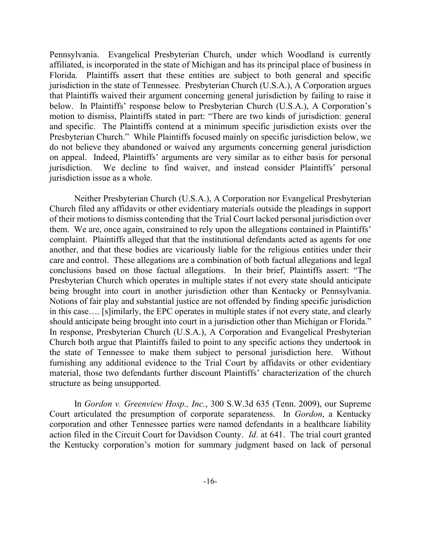Pennsylvania. Evangelical Presbyterian Church, under which Woodland is currently affiliated, is incorporated in the state of Michigan and has its principal place of business in Florida. Plaintiffs assert that these entities are subject to both general and specific jurisdiction in the state of Tennessee. Presbyterian Church (U.S.A.), A Corporation argues that Plaintiffs waived their argument concerning general jurisdiction by failing to raise it below. In Plaintiffs' response below to Presbyterian Church (U.S.A.), A Corporation's motion to dismiss, Plaintiffs stated in part: "There are two kinds of jurisdiction: general and specific. The Plaintiffs contend at a minimum specific jurisdiction exists over the Presbyterian Church." While Plaintiffs focused mainly on specific jurisdiction below, we do not believe they abandoned or waived any arguments concerning general jurisdiction on appeal. Indeed, Plaintiffs' arguments are very similar as to either basis for personal jurisdiction. We decline to find waiver, and instead consider Plaintiffs' personal jurisdiction issue as a whole.

Neither Presbyterian Church (U.S.A.), A Corporation nor Evangelical Presbyterian Church filed any affidavits or other evidentiary materials outside the pleadings in support of their motions to dismiss contending that the Trial Court lacked personal jurisdiction over them. We are, once again, constrained to rely upon the allegations contained in Plaintiffs' complaint. Plaintiffs alleged that that the institutional defendants acted as agents for one another, and that these bodies are vicariously liable for the religious entities under their care and control. These allegations are a combination of both factual allegations and legal conclusions based on those factual allegations. In their brief, Plaintiffs assert: "The Presbyterian Church which operates in multiple states if not every state should anticipate being brought into court in another jurisdiction other than Kentucky or Pennsylvania. Notions of fair play and substantial justice are not offended by finding specific jurisdiction in this case…. [s]imilarly, the EPC operates in multiple states if not every state, and clearly should anticipate being brought into court in a jurisdiction other than Michigan or Florida." In response, Presbyterian Church (U.S.A.), A Corporation and Evangelical Presbyterian Church both argue that Plaintiffs failed to point to any specific actions they undertook in the state of Tennessee to make them subject to personal jurisdiction here. Without furnishing any additional evidence to the Trial Court by affidavits or other evidentiary material, those two defendants further discount Plaintiffs' characterization of the church structure as being unsupported.

In *Gordon v. Greenview Hosp., Inc.*, 300 S.W.3d 635 (Tenn. 2009), our Supreme Court articulated the presumption of corporate separateness. In *Gordon*, a Kentucky corporation and other Tennessee parties were named defendants in a healthcare liability action filed in the Circuit Court for Davidson County. *Id*. at 641. The trial court granted the Kentucky corporation's motion for summary judgment based on lack of personal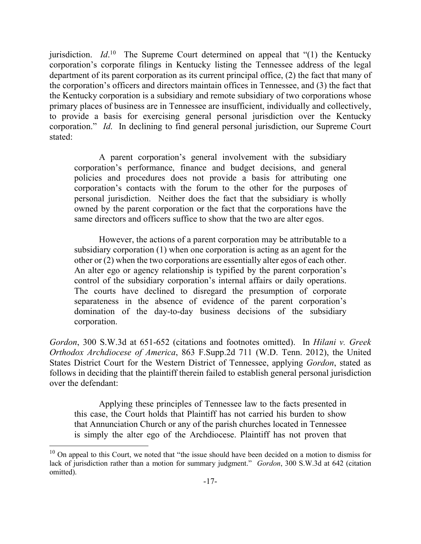jurisdiction. *Id*.<sup>10</sup> The Supreme Court determined on appeal that "(1) the Kentucky corporation's corporate filings in Kentucky listing the Tennessee address of the legal department of its parent corporation as its current principal office, (2) the fact that many of the corporation's officers and directors maintain offices in Tennessee, and (3) the fact that the Kentucky corporation is a subsidiary and remote subsidiary of two corporations whose primary places of business are in Tennessee are insufficient, individually and collectively, to provide a basis for exercising general personal jurisdiction over the Kentucky corporation." *Id*. In declining to find general personal jurisdiction, our Supreme Court stated:

A parent corporation's general involvement with the subsidiary corporation's performance, finance and budget decisions, and general policies and procedures does not provide a basis for attributing one corporation's contacts with the forum to the other for the purposes of personal jurisdiction. Neither does the fact that the subsidiary is wholly owned by the parent corporation or the fact that the corporations have the same directors and officers suffice to show that the two are alter egos.

However, the actions of a parent corporation may be attributable to a subsidiary corporation (1) when one corporation is acting as an agent for the other or (2) when the two corporations are essentially alter egos of each other. An alter ego or agency relationship is typified by the parent corporation's control of the subsidiary corporation's internal affairs or daily operations. The courts have declined to disregard the presumption of corporate separateness in the absence of evidence of the parent corporation's domination of the day-to-day business decisions of the subsidiary corporation.

*Gordon*, 300 S.W.3d at 651-652 (citations and footnotes omitted). In *Hilani v. Greek Orthodox Archdiocese of America*, 863 F.Supp.2d 711 (W.D. Tenn. 2012), the United States District Court for the Western District of Tennessee, applying *Gordon*, stated as follows in deciding that the plaintiff therein failed to establish general personal jurisdiction over the defendant:

Applying these principles of Tennessee law to the facts presented in this case, the Court holds that Plaintiff has not carried his burden to show that Annunciation Church or any of the parish churches located in Tennessee is simply the alter ego of the Archdiocese. Plaintiff has not proven that

l

 $10$  On appeal to this Court, we noted that "the issue should have been decided on a motion to dismiss for lack of jurisdiction rather than a motion for summary judgment." *Gordon*, 300 S.W.3d at 642 (citation omitted).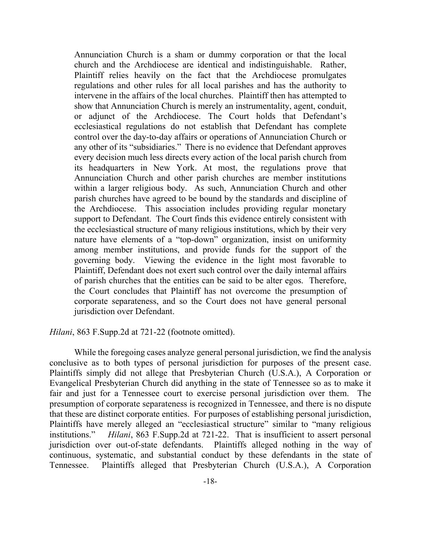Annunciation Church is a sham or dummy corporation or that the local church and the Archdiocese are identical and indistinguishable. Rather, Plaintiff relies heavily on the fact that the Archdiocese promulgates regulations and other rules for all local parishes and has the authority to intervene in the affairs of the local churches. Plaintiff then has attempted to show that Annunciation Church is merely an instrumentality, agent, conduit, or adjunct of the Archdiocese. The Court holds that Defendant's ecclesiastical regulations do not establish that Defendant has complete control over the day-to-day affairs or operations of Annunciation Church or any other of its "subsidiaries." There is no evidence that Defendant approves every decision much less directs every action of the local parish church from its headquarters in New York. At most, the regulations prove that Annunciation Church and other parish churches are member institutions within a larger religious body. As such, Annunciation Church and other parish churches have agreed to be bound by the standards and discipline of the Archdiocese. This association includes providing regular monetary support to Defendant. The Court finds this evidence entirely consistent with the ecclesiastical structure of many religious institutions, which by their very nature have elements of a "top-down" organization, insist on uniformity among member institutions, and provide funds for the support of the governing body. Viewing the evidence in the light most favorable to Plaintiff, Defendant does not exert such control over the daily internal affairs of parish churches that the entities can be said to be alter egos. Therefore, the Court concludes that Plaintiff has not overcome the presumption of corporate separateness, and so the Court does not have general personal jurisdiction over Defendant.

*Hilani*, 863 F.Supp.2d at 721-22 (footnote omitted).

While the foregoing cases analyze general personal jurisdiction, we find the analysis conclusive as to both types of personal jurisdiction for purposes of the present case. Plaintiffs simply did not allege that Presbyterian Church (U.S.A.), A Corporation or Evangelical Presbyterian Church did anything in the state of Tennessee so as to make it fair and just for a Tennessee court to exercise personal jurisdiction over them. The presumption of corporate separateness is recognized in Tennessee, and there is no dispute that these are distinct corporate entities. For purposes of establishing personal jurisdiction, Plaintiffs have merely alleged an "ecclesiastical structure" similar to "many religious institutions." *Hilani*, 863 F.Supp.2d at 721-22. That is insufficient to assert personal jurisdiction over out-of-state defendants. Plaintiffs alleged nothing in the way of continuous, systematic, and substantial conduct by these defendants in the state of Tennessee. Plaintiffs alleged that Presbyterian Church (U.S.A.), A Corporation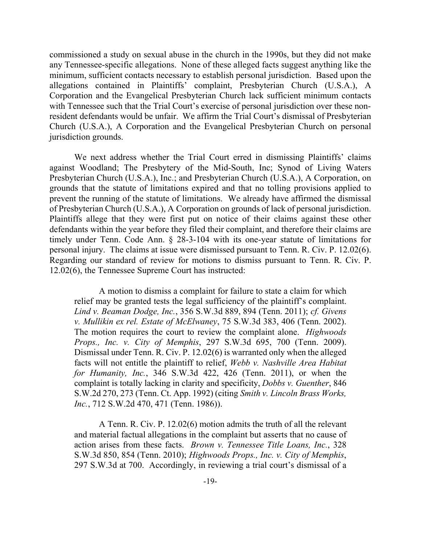commissioned a study on sexual abuse in the church in the 1990s, but they did not make any Tennessee-specific allegations. None of these alleged facts suggest anything like the minimum, sufficient contacts necessary to establish personal jurisdiction. Based upon the allegations contained in Plaintiffs' complaint, Presbyterian Church (U.S.A.), A Corporation and the Evangelical Presbyterian Church lack sufficient minimum contacts with Tennessee such that the Trial Court's exercise of personal jurisdiction over these nonresident defendants would be unfair. We affirm the Trial Court's dismissal of Presbyterian Church (U.S.A.), A Corporation and the Evangelical Presbyterian Church on personal jurisdiction grounds.

We next address whether the Trial Court erred in dismissing Plaintiffs' claims against Woodland; The Presbytery of the Mid-South, Inc; Synod of Living Waters Presbyterian Church (U.S.A.), Inc.; and Presbyterian Church (U.S.A.), A Corporation, on grounds that the statute of limitations expired and that no tolling provisions applied to prevent the running of the statute of limitations. We already have affirmed the dismissal of Presbyterian Church (U.S.A.), A Corporation on grounds of lack of personal jurisdiction. Plaintiffs allege that they were first put on notice of their claims against these other defendants within the year before they filed their complaint, and therefore their claims are timely under Tenn. Code Ann. § 28-3-104 with its one-year statute of limitations for personal injury. The claims at issue were dismissed pursuant to Tenn. R. Civ. P. 12.02(6). Regarding our standard of review for motions to dismiss pursuant to Tenn. R. Civ. P. 12.02(6), the Tennessee Supreme Court has instructed:

A motion to dismiss a complaint for failure to state a claim for which relief may be granted tests the legal sufficiency of the plaintiff's complaint. *Lind v. Beaman Dodge, Inc.*, 356 S.W.3d 889, 894 (Tenn. 2011); *cf. Givens v. Mullikin ex rel. Estate of McElwaney*, 75 S.W.3d 383, 406 (Tenn. 2002). The motion requires the court to review the complaint alone. *Highwoods Props., Inc. v. City of Memphis*, 297 S.W.3d 695, 700 (Tenn. 2009). Dismissal under Tenn. R. Civ. P. 12.02(6) is warranted only when the alleged facts will not entitle the plaintiff to relief, *Webb v. Nashville Area Habitat for Humanity, Inc.*, 346 S.W.3d 422, 426 (Tenn. 2011), or when the complaint is totally lacking in clarity and specificity, *Dobbs v. Guenther*, 846 S.W.2d 270, 273 (Tenn. Ct. App. 1992) (citing *Smith v. Lincoln Brass Works, Inc.*, 712 S.W.2d 470, 471 (Tenn. 1986)).

A Tenn. R. Civ. P. 12.02(6) motion admits the truth of all the relevant and material factual allegations in the complaint but asserts that no cause of action arises from these facts. *Brown v. Tennessee Title Loans, Inc.*, 328 S.W.3d 850, 854 (Tenn. 2010); *Highwoods Props., Inc. v. City of Memphis*, 297 S.W.3d at 700. Accordingly, in reviewing a trial court's dismissal of a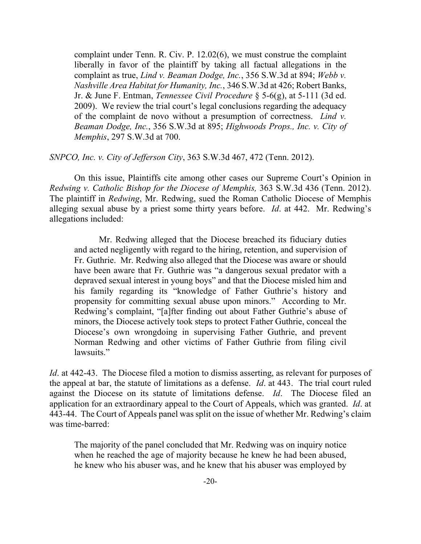complaint under Tenn. R. Civ. P. 12.02(6), we must construe the complaint liberally in favor of the plaintiff by taking all factual allegations in the complaint as true, *Lind v. Beaman Dodge, Inc.*, 356 S.W.3d at 894; *Webb v. Nashville Area Habitat for Humanity, Inc.*, 346 S.W.3d at 426; Robert Banks, Jr. & June F. Entman, *Tennessee Civil Procedure* § 5-6(g), at 5-111 (3d ed. 2009). We review the trial court's legal conclusions regarding the adequacy of the complaint de novo without a presumption of correctness. *Lind v. Beaman Dodge, Inc.*, 356 S.W.3d at 895; *Highwoods Props., Inc. v. City of Memphis*, 297 S.W.3d at 700.

## *SNPCO, Inc. v. City of Jefferson City*, 363 S.W.3d 467, 472 (Tenn. 2012).

On this issue, Plaintiffs cite among other cases our Supreme Court's Opinion in *Redwing v. Catholic Bishop for the Diocese of Memphis,* 363 S.W.3d 436 (Tenn. 2012). The plaintiff in *Redwing*, Mr. Redwing, sued the Roman Catholic Diocese of Memphis alleging sexual abuse by a priest some thirty years before. *Id*. at 442. Mr. Redwing's allegations included:

Mr. Redwing alleged that the Diocese breached its fiduciary duties and acted negligently with regard to the hiring, retention, and supervision of Fr. Guthrie. Mr. Redwing also alleged that the Diocese was aware or should have been aware that Fr. Guthrie was "a dangerous sexual predator with a depraved sexual interest in young boys" and that the Diocese misled him and his family regarding its "knowledge of Father Guthrie's history and propensity for committing sexual abuse upon minors." According to Mr. Redwing's complaint, "[a]fter finding out about Father Guthrie's abuse of minors, the Diocese actively took steps to protect Father Guthrie, conceal the Diocese's own wrongdoing in supervising Father Guthrie, and prevent Norman Redwing and other victims of Father Guthrie from filing civil lawsuits."

*Id.* at 442-43. The Diocese filed a motion to dismiss asserting, as relevant for purposes of the appeal at bar, the statute of limitations as a defense. *Id*. at 443. The trial court ruled against the Diocese on its statute of limitations defense. *Id*. The Diocese filed an application for an extraordinary appeal to the Court of Appeals, which was granted. *Id*. at 443-44. The Court of Appeals panel was split on the issue of whether Mr. Redwing's claim was time-barred:

The majority of the panel concluded that Mr. Redwing was on inquiry notice when he reached the age of majority because he knew he had been abused, he knew who his abuser was, and he knew that his abuser was employed by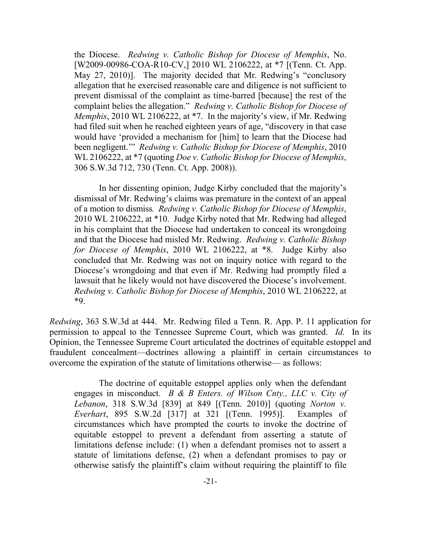the Diocese. *Redwing v. Catholic Bishop for Diocese of Memphis*, No. [W2009-00986-COA-R10-CV,] 2010 WL 2106222, at \*7 [(Tenn. Ct. App. May 27, 2010)]. The majority decided that Mr. Redwing's "conclusory allegation that he exercised reasonable care and diligence is not sufficient to prevent dismissal of the complaint as time-barred [because] the rest of the complaint belies the allegation." *Redwing v. Catholic Bishop for Diocese of Memphis*, 2010 WL 2106222, at \*7. In the majority's view, if Mr. Redwing had filed suit when he reached eighteen years of age, "discovery in that case would have 'provided a mechanism for [him] to learn that the Diocese had been negligent.'" *Redwing v. Catholic Bishop for Diocese of Memphis*, 2010 WL 2106222, at \*7 (quoting *Doe v. Catholic Bishop for Diocese of Memphis*, 306 S.W.3d 712, 730 (Tenn. Ct. App. 2008)).

In her dissenting opinion, Judge Kirby concluded that the majority's dismissal of Mr. Redwing's claims was premature in the context of an appeal of a motion to dismiss*. Redwing v. Catholic Bishop for Diocese of Memphis*, 2010 WL 2106222, at \*10. Judge Kirby noted that Mr. Redwing had alleged in his complaint that the Diocese had undertaken to conceal its wrongdoing and that the Diocese had misled Mr. Redwing. *Redwing v. Catholic Bishop for Diocese of Memphis*, 2010 WL 2106222, at \*8. Judge Kirby also concluded that Mr. Redwing was not on inquiry notice with regard to the Diocese's wrongdoing and that even if Mr. Redwing had promptly filed a lawsuit that he likely would not have discovered the Diocese's involvement. *Redwing v. Catholic Bishop for Diocese of Memphis*, 2010 WL 2106222, at \*9.

*Redwing*, 363 S.W.3d at 444. Mr. Redwing filed a Tenn. R. App. P. 11 application for permission to appeal to the Tennessee Supreme Court, which was granted. *Id*. In its Opinion, the Tennessee Supreme Court articulated the doctrines of equitable estoppel and fraudulent concealment—doctrines allowing a plaintiff in certain circumstances to overcome the expiration of the statute of limitations otherwise— as follows:

The doctrine of equitable estoppel applies only when the defendant engages in misconduct. *B & B Enters. of Wilson Cnty., LLC v. City of Lebanon*, 318 S.W.3d [839] at 849 [(Tenn. 2010)] (quoting *Norton v. Everhart*, 895 S.W.2d [317] at 321 [(Tenn. 1995)]. Examples of circumstances which have prompted the courts to invoke the doctrine of equitable estoppel to prevent a defendant from asserting a statute of limitations defense include: (1) when a defendant promises not to assert a statute of limitations defense, (2) when a defendant promises to pay or otherwise satisfy the plaintiff's claim without requiring the plaintiff to file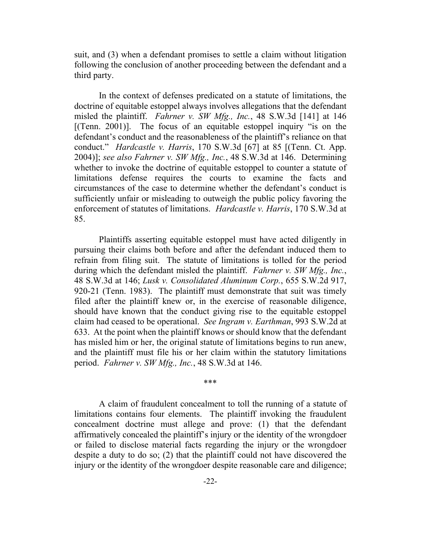suit, and (3) when a defendant promises to settle a claim without litigation following the conclusion of another proceeding between the defendant and a third party.

In the context of defenses predicated on a statute of limitations, the doctrine of equitable estoppel always involves allegations that the defendant misled the plaintiff. *Fahrner v. SW Mfg., Inc.*, 48 S.W.3d [141] at 146  $[$ (Tenn. 2001)]. The focus of an equitable estoppel inquiry "is on the defendant's conduct and the reasonableness of the plaintiff's reliance on that conduct." *Hardcastle v. Harris*, 170 S.W.3d [67] at 85 [(Tenn. Ct. App. 2004)]; *see also Fahrner v. SW Mfg., Inc.*, 48 S.W.3d at 146. Determining whether to invoke the doctrine of equitable estoppel to counter a statute of limitations defense requires the courts to examine the facts and circumstances of the case to determine whether the defendant's conduct is sufficiently unfair or misleading to outweigh the public policy favoring the enforcement of statutes of limitations. *Hardcastle v. Harris*, 170 S.W.3d at 85.

Plaintiffs asserting equitable estoppel must have acted diligently in pursuing their claims both before and after the defendant induced them to refrain from filing suit. The statute of limitations is tolled for the period during which the defendant misled the plaintiff. *Fahrner v. SW Mfg., Inc.*, 48 S.W.3d at 146; *Lusk v. Consolidated Aluminum Corp.*, 655 S.W.2d 917, 920-21 (Tenn. 1983). The plaintiff must demonstrate that suit was timely filed after the plaintiff knew or, in the exercise of reasonable diligence, should have known that the conduct giving rise to the equitable estoppel claim had ceased to be operational. *See Ingram v. Earthman*, 993 S.W.2d at 633. At the point when the plaintiff knows or should know that the defendant has misled him or her, the original statute of limitations begins to run anew, and the plaintiff must file his or her claim within the statutory limitations period. *Fahrner v. SW Mfg., Inc.*, 48 S.W.3d at 146.

\*\*\*

A claim of fraudulent concealment to toll the running of a statute of limitations contains four elements. The plaintiff invoking the fraudulent concealment doctrine must allege and prove: (1) that the defendant affirmatively concealed the plaintiff's injury or the identity of the wrongdoer or failed to disclose material facts regarding the injury or the wrongdoer despite a duty to do so; (2) that the plaintiff could not have discovered the injury or the identity of the wrongdoer despite reasonable care and diligence;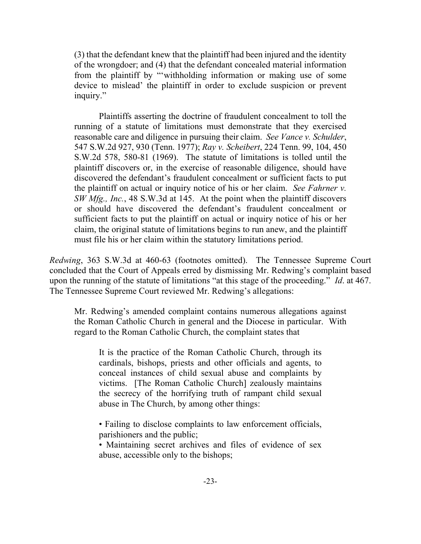(3) that the defendant knew that the plaintiff had been injured and the identity of the wrongdoer; and (4) that the defendant concealed material information from the plaintiff by "'withholding information or making use of some device to mislead' the plaintiff in order to exclude suspicion or prevent inquiry."

Plaintiffs asserting the doctrine of fraudulent concealment to toll the running of a statute of limitations must demonstrate that they exercised reasonable care and diligence in pursuing their claim. *See Vance v. Schulder*, 547 S.W.2d 927, 930 (Tenn. 1977); *Ray v. Scheibert*, 224 Tenn. 99, 104, 450 S.W.2d 578, 580-81 (1969). The statute of limitations is tolled until the plaintiff discovers or, in the exercise of reasonable diligence, should have discovered the defendant's fraudulent concealment or sufficient facts to put the plaintiff on actual or inquiry notice of his or her claim. *See Fahrner v. SW Mfg., Inc.*, 48 S.W.3d at 145. At the point when the plaintiff discovers or should have discovered the defendant's fraudulent concealment or sufficient facts to put the plaintiff on actual or inquiry notice of his or her claim, the original statute of limitations begins to run anew, and the plaintiff must file his or her claim within the statutory limitations period.

*Redwing*, 363 S.W.3d at 460-63 (footnotes omitted). The Tennessee Supreme Court concluded that the Court of Appeals erred by dismissing Mr. Redwing's complaint based upon the running of the statute of limitations "at this stage of the proceeding." *Id*. at 467. The Tennessee Supreme Court reviewed Mr. Redwing's allegations:

Mr. Redwing's amended complaint contains numerous allegations against the Roman Catholic Church in general and the Diocese in particular. With regard to the Roman Catholic Church, the complaint states that

It is the practice of the Roman Catholic Church, through its cardinals, bishops, priests and other officials and agents, to conceal instances of child sexual abuse and complaints by victims. [The Roman Catholic Church] zealously maintains the secrecy of the horrifying truth of rampant child sexual abuse in The Church, by among other things:

• Failing to disclose complaints to law enforcement officials, parishioners and the public;

• Maintaining secret archives and files of evidence of sex abuse, accessible only to the bishops;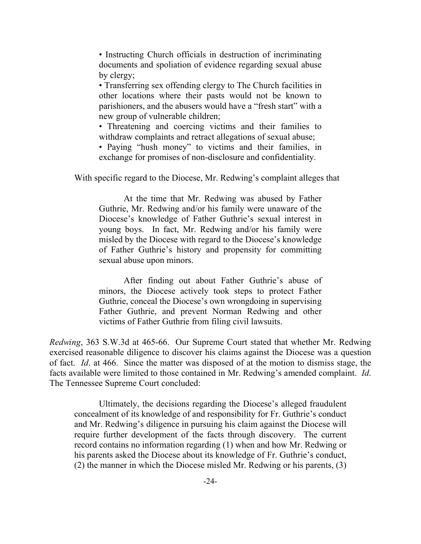• Instructing Church officials in destruction of incriminating documents and spoliation of evidence regarding sexual abuse by clergy;

• Transferring sex offending clergy to The Church facilities in other locations where their pasts would not be known to parishioners, and the abusers would have a "fresh start" with a new group of vulnerable children;

• Threatening and coercing victims and their families to withdraw complaints and retract allegations of sexual abuse;

• Paying "hush money" to victims and their families, in exchange for promises of non-disclosure and confidentiality.

With specific regard to the Diocese, Mr. Redwing's complaint alleges that

At the time that Mr. Redwing was abused by Father Guthrie, Mr. Redwing and/or his family were unaware of the Diocese's knowledge of Father Guthrie's sexual interest in young boys. In fact, Mr. Redwing and/or his family were misled by the Diocese with regard to the Diocese's knowledge of Father Guthrie's history and propensity for committing sexual abuse upon minors.

After finding out about Father Guthrie's abuse of minors, the Diocese actively took steps to protect Father Guthrie, conceal the Diocese's own wrongdoing in supervising Father Guthrie, and prevent Norman Redwing and other victims of Father Guthrie from filing civil lawsuits.

*Redwing*, 363 S.W.3d at 465-66. Our Supreme Court stated that whether Mr. Redwing exercised reasonable diligence to discover his claims against the Diocese was a question of fact. *Id*. at 466. Since the matter was disposed of at the motion to dismiss stage, the facts available were limited to those contained in Mr. Redwing's amended complaint. *Id*. The Tennessee Supreme Court concluded:

Ultimately, the decisions regarding the Diocese's alleged fraudulent concealment of its knowledge of and responsibility for Fr. Guthrie's conduct and Mr. Redwing's diligence in pursuing his claim against the Diocese will require further development of the facts through discovery. The current record contains no information regarding (1) when and how Mr. Redwing or his parents asked the Diocese about its knowledge of Fr. Guthrie's conduct, (2) the manner in which the Diocese misled Mr. Redwing or his parents, (3)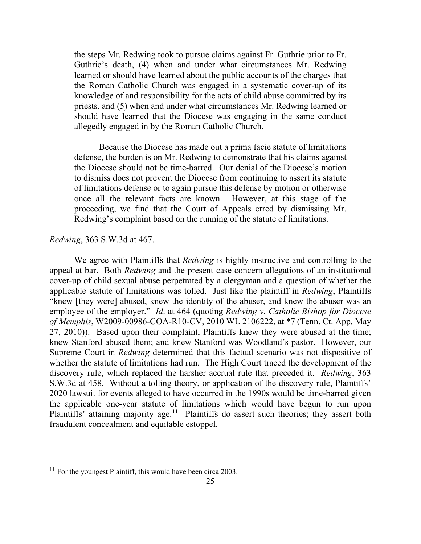the steps Mr. Redwing took to pursue claims against Fr. Guthrie prior to Fr. Guthrie's death, (4) when and under what circumstances Mr. Redwing learned or should have learned about the public accounts of the charges that the Roman Catholic Church was engaged in a systematic cover-up of its knowledge of and responsibility for the acts of child abuse committed by its priests, and (5) when and under what circumstances Mr. Redwing learned or should have learned that the Diocese was engaging in the same conduct allegedly engaged in by the Roman Catholic Church.

Because the Diocese has made out a prima facie statute of limitations defense, the burden is on Mr. Redwing to demonstrate that his claims against the Diocese should not be time-barred. Our denial of the Diocese's motion to dismiss does not prevent the Diocese from continuing to assert its statute of limitations defense or to again pursue this defense by motion or otherwise once all the relevant facts are known. However, at this stage of the proceeding, we find that the Court of Appeals erred by dismissing Mr. Redwing's complaint based on the running of the statute of limitations.

# *Redwing*, 363 S.W.3d at 467.

We agree with Plaintiffs that *Redwing* is highly instructive and controlling to the appeal at bar. Both *Redwing* and the present case concern allegations of an institutional cover-up of child sexual abuse perpetrated by a clergyman and a question of whether the applicable statute of limitations was tolled. Just like the plaintiff in *Redwing*, Plaintiffs "knew [they were] abused, knew the identity of the abuser, and knew the abuser was an employee of the employer." *Id*. at 464 (quoting *Redwing v. Catholic Bishop for Diocese of Memphis*, W2009-00986-COA-R10-CV, 2010 WL 2106222, at \*7 (Tenn. Ct. App. May 27, 2010)). Based upon their complaint, Plaintiffs knew they were abused at the time; knew Stanford abused them; and knew Stanford was Woodland's pastor. However, our Supreme Court in *Redwing* determined that this factual scenario was not dispositive of whether the statute of limitations had run. The High Court traced the development of the discovery rule, which replaced the harsher accrual rule that preceded it. *Redwing*, 363 S.W.3d at 458. Without a tolling theory, or application of the discovery rule, Plaintiffs' 2020 lawsuit for events alleged to have occurred in the 1990s would be time-barred given the applicable one-year statute of limitations which would have begun to run upon Plaintiffs' attaining majority age.<sup>11</sup> Plaintiffs do assert such theories; they assert both fraudulent concealment and equitable estoppel.

 $\overline{a}$ 

 $11$  For the youngest Plaintiff, this would have been circa 2003.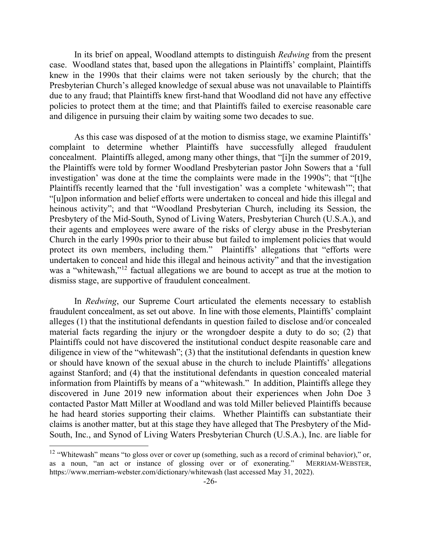In its brief on appeal, Woodland attempts to distinguish *Redwing* from the present case. Woodland states that, based upon the allegations in Plaintiffs' complaint, Plaintiffs knew in the 1990s that their claims were not taken seriously by the church; that the Presbyterian Church's alleged knowledge of sexual abuse was not unavailable to Plaintiffs due to any fraud; that Plaintiffs knew first-hand that Woodland did not have any effective policies to protect them at the time; and that Plaintiffs failed to exercise reasonable care and diligence in pursuing their claim by waiting some two decades to sue.

As this case was disposed of at the motion to dismiss stage, we examine Plaintiffs' complaint to determine whether Plaintiffs have successfully alleged fraudulent concealment. Plaintiffs alleged, among many other things, that "[i]n the summer of 2019, the Plaintiffs were told by former Woodland Presbyterian pastor John Sowers that a 'full investigation' was done at the time the complaints were made in the 1990s"; that "[t]he Plaintiffs recently learned that the 'full investigation' was a complete 'whitewash'"; that "[u]pon information and belief efforts were undertaken to conceal and hide this illegal and heinous activity"; and that "Woodland Presbyterian Church, including its Session, the Presbytery of the Mid-South, Synod of Living Waters, Presbyterian Church (U.S.A.), and their agents and employees were aware of the risks of clergy abuse in the Presbyterian Church in the early 1990s prior to their abuse but failed to implement policies that would protect its own members, including them." Plaintiffs' allegations that "efforts were undertaken to conceal and hide this illegal and heinous activity" and that the investigation was a "whitewash,"<sup>12</sup> factual allegations we are bound to accept as true at the motion to dismiss stage, are supportive of fraudulent concealment.

In *Redwing*, our Supreme Court articulated the elements necessary to establish fraudulent concealment, as set out above. In line with those elements, Plaintiffs' complaint alleges (1) that the institutional defendants in question failed to disclose and/or concealed material facts regarding the injury or the wrongdoer despite a duty to do so; (2) that Plaintiffs could not have discovered the institutional conduct despite reasonable care and diligence in view of the "whitewash"; (3) that the institutional defendants in question knew or should have known of the sexual abuse in the church to include Plaintiffs' allegations against Stanford; and (4) that the institutional defendants in question concealed material information from Plaintiffs by means of a "whitewash." In addition, Plaintiffs allege they discovered in June 2019 new information about their experiences when John Doe 3 contacted Pastor Matt Miller at Woodland and was told Miller believed Plaintiffs because he had heard stories supporting their claims. Whether Plaintiffs can substantiate their claims is another matter, but at this stage they have alleged that The Presbytery of the Mid-South, Inc., and Synod of Living Waters Presbyterian Church (U.S.A.), Inc. are liable for

l

<sup>&</sup>lt;sup>12</sup> "Whitewash" means "to gloss over or cover up (something, such as a record of criminal behavior)," or, as a noun, "an act or instance of glossing over or of exonerating." MERRIAM-WEBSTER, https://www.merriam-webster.com/dictionary/whitewash (last accessed May 31, 2022).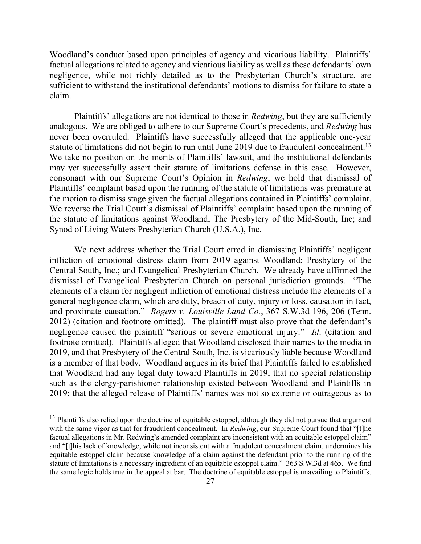Woodland's conduct based upon principles of agency and vicarious liability. Plaintiffs' factual allegations related to agency and vicarious liability as well as these defendants' own negligence, while not richly detailed as to the Presbyterian Church's structure, are sufficient to withstand the institutional defendants' motions to dismiss for failure to state a claim.

Plaintiffs' allegations are not identical to those in *Redwing*, but they are sufficiently analogous. We are obliged to adhere to our Supreme Court's precedents, and *Redwing* has never been overruled. Plaintiffs have successfully alleged that the applicable one-year statute of limitations did not begin to run until June 2019 due to fraudulent concealment.<sup>13</sup> We take no position on the merits of Plaintiffs' lawsuit, and the institutional defendants may yet successfully assert their statute of limitations defense in this case. However, consonant with our Supreme Court's Opinion in *Redwing*, we hold that dismissal of Plaintiffs' complaint based upon the running of the statute of limitations was premature at the motion to dismiss stage given the factual allegations contained in Plaintiffs' complaint. We reverse the Trial Court's dismissal of Plaintiffs' complaint based upon the running of the statute of limitations against Woodland; The Presbytery of the Mid-South, Inc; and Synod of Living Waters Presbyterian Church (U.S.A.), Inc.

We next address whether the Trial Court erred in dismissing Plaintiffs' negligent infliction of emotional distress claim from 2019 against Woodland; Presbytery of the Central South, Inc.; and Evangelical Presbyterian Church. We already have affirmed the dismissal of Evangelical Presbyterian Church on personal jurisdiction grounds. "The elements of a claim for negligent infliction of emotional distress include the elements of a general negligence claim, which are duty, breach of duty, injury or loss, causation in fact, and proximate causation." *Rogers v. Louisville Land Co.*, 367 S.W.3d 196, 206 (Tenn. 2012) (citation and footnote omitted). The plaintiff must also prove that the defendant's negligence caused the plaintiff "serious or severe emotional injury." *Id*. (citation and footnote omitted). Plaintiffs alleged that Woodland disclosed their names to the media in 2019, and that Presbytery of the Central South, Inc. is vicariously liable because Woodland is a member of that body. Woodland argues in its brief that Plaintiffs failed to established that Woodland had any legal duty toward Plaintiffs in 2019; that no special relationship such as the clergy-parishioner relationship existed between Woodland and Plaintiffs in 2019; that the alleged release of Plaintiffs' names was not so extreme or outrageous as to

l

<sup>&</sup>lt;sup>13</sup> Plaintiffs also relied upon the doctrine of equitable estoppel, although they did not pursue that argument with the same vigor as that for fraudulent concealment. In *Redwing*, our Supreme Court found that "[t]he factual allegations in Mr. Redwing's amended complaint are inconsistent with an equitable estoppel claim" and "[t]his lack of knowledge, while not inconsistent with a fraudulent concealment claim, undermines his equitable estoppel claim because knowledge of a claim against the defendant prior to the running of the statute of limitations is a necessary ingredient of an equitable estoppel claim." 363 S.W.3d at 465. We find the same logic holds true in the appeal at bar. The doctrine of equitable estoppel is unavailing to Plaintiffs.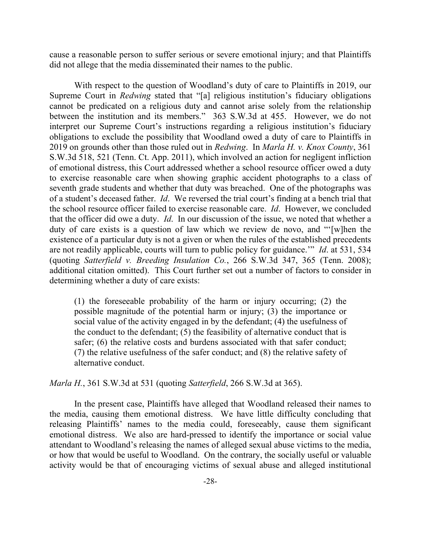cause a reasonable person to suffer serious or severe emotional injury; and that Plaintiffs did not allege that the media disseminated their names to the public.

With respect to the question of Woodland's duty of care to Plaintiffs in 2019, our Supreme Court in *Redwing* stated that "[a] religious institution's fiduciary obligations cannot be predicated on a religious duty and cannot arise solely from the relationship between the institution and its members." 363 S.W.3d at 455. However, we do not interpret our Supreme Court's instructions regarding a religious institution's fiduciary obligations to exclude the possibility that Woodland owed a duty of care to Plaintiffs in 2019 on grounds other than those ruled out in *Redwing*. In *Marla H. v. Knox County*, 361 S.W.3d 518, 521 (Tenn. Ct. App. 2011), which involved an action for negligent infliction of emotional distress, this Court addressed whether a school resource officer owed a duty to exercise reasonable care when showing graphic accident photographs to a class of seventh grade students and whether that duty was breached. One of the photographs was of a student's deceased father. *Id*. We reversed the trial court's finding at a bench trial that the school resource officer failed to exercise reasonable care. *Id*. However, we concluded that the officer did owe a duty. *Id*. In our discussion of the issue, we noted that whether a duty of care exists is a question of law which we review de novo, and "'[w]hen the existence of a particular duty is not a given or when the rules of the established precedents are not readily applicable, courts will turn to public policy for guidance.'" *Id*. at 531, 534 (quoting *Satterfield v. Breeding Insulation Co.*, 266 S.W.3d 347, 365 (Tenn. 2008); additional citation omitted). This Court further set out a number of factors to consider in determining whether a duty of care exists:

(1) the foreseeable probability of the harm or injury occurring; (2) the possible magnitude of the potential harm or injury; (3) the importance or social value of the activity engaged in by the defendant; (4) the usefulness of the conduct to the defendant; (5) the feasibility of alternative conduct that is safer; (6) the relative costs and burdens associated with that safer conduct; (7) the relative usefulness of the safer conduct; and (8) the relative safety of alternative conduct.

*Marla H.*, 361 S.W.3d at 531 (quoting *Satterfield*, 266 S.W.3d at 365).

In the present case, Plaintiffs have alleged that Woodland released their names to the media, causing them emotional distress. We have little difficulty concluding that releasing Plaintiffs' names to the media could, foreseeably, cause them significant emotional distress. We also are hard-pressed to identify the importance or social value attendant to Woodland's releasing the names of alleged sexual abuse victims to the media, or how that would be useful to Woodland. On the contrary, the socially useful or valuable activity would be that of encouraging victims of sexual abuse and alleged institutional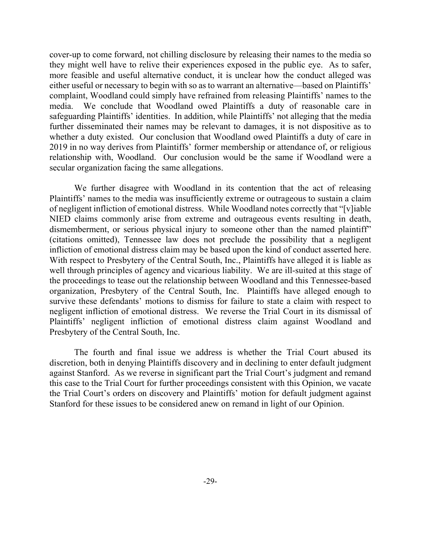cover-up to come forward, not chilling disclosure by releasing their names to the media so they might well have to relive their experiences exposed in the public eye. As to safer, more feasible and useful alternative conduct, it is unclear how the conduct alleged was either useful or necessary to begin with so as to warrant an alternative—based on Plaintiffs' complaint, Woodland could simply have refrained from releasing Plaintiffs' names to the media. We conclude that Woodland owed Plaintiffs a duty of reasonable care in safeguarding Plaintiffs' identities. In addition, while Plaintiffs' not alleging that the media further disseminated their names may be relevant to damages, it is not dispositive as to whether a duty existed. Our conclusion that Woodland owed Plaintiffs a duty of care in 2019 in no way derives from Plaintiffs' former membership or attendance of, or religious relationship with, Woodland. Our conclusion would be the same if Woodland were a secular organization facing the same allegations.

We further disagree with Woodland in its contention that the act of releasing Plaintiffs' names to the media was insufficiently extreme or outrageous to sustain a claim of negligent infliction of emotional distress. While Woodland notes correctly that "[v]iable NIED claims commonly arise from extreme and outrageous events resulting in death, dismemberment, or serious physical injury to someone other than the named plaintiff" (citations omitted), Tennessee law does not preclude the possibility that a negligent infliction of emotional distress claim may be based upon the kind of conduct asserted here. With respect to Presbytery of the Central South, Inc., Plaintiffs have alleged it is liable as well through principles of agency and vicarious liability. We are ill-suited at this stage of the proceedings to tease out the relationship between Woodland and this Tennessee-based organization, Presbytery of the Central South, Inc. Plaintiffs have alleged enough to survive these defendants' motions to dismiss for failure to state a claim with respect to negligent infliction of emotional distress. We reverse the Trial Court in its dismissal of Plaintiffs' negligent infliction of emotional distress claim against Woodland and Presbytery of the Central South, Inc.

The fourth and final issue we address is whether the Trial Court abused its discretion, both in denying Plaintiffs discovery and in declining to enter default judgment against Stanford. As we reverse in significant part the Trial Court's judgment and remand this case to the Trial Court for further proceedings consistent with this Opinion, we vacate the Trial Court's orders on discovery and Plaintiffs' motion for default judgment against Stanford for these issues to be considered anew on remand in light of our Opinion.